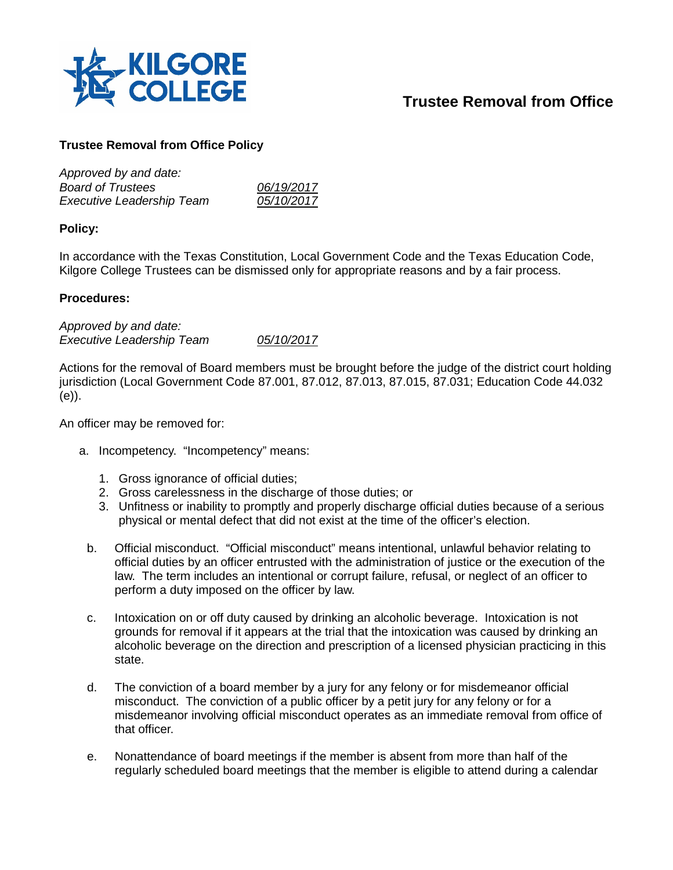

## **Trustee Removal from Office**

## **Trustee Removal from Office Policy**

| 06/19/2017 |
|------------|
| 05/10/2017 |
|            |

## **Policy:**

In accordance with the Texas Constitution, Local Government Code and the Texas Education Code, Kilgore College Trustees can be dismissed only for appropriate reasons and by a fair process.

## **Procedures:**

*Approved by and date: Executive Leadership Team 05/10/2017*

Actions for the removal of Board members must be brought before the judge of the district court holding jurisdiction (Local Government Code 87.001, 87.012, 87.013, 87.015, 87.031; Education Code 44.032 (e)).

An officer may be removed for:

- a. Incompetency. "Incompetency" means:
	- 1. Gross ignorance of official duties;
	- 2. Gross carelessness in the discharge of those duties; or
	- 3. Unfitness or inability to promptly and properly discharge official duties because of a serious physical or mental defect that did not exist at the time of the officer's election.
	- b. Official misconduct. "Official misconduct" means intentional, unlawful behavior relating to official duties by an officer entrusted with the administration of justice or the execution of the law. The term includes an intentional or corrupt failure, refusal, or neglect of an officer to perform a duty imposed on the officer by law.
	- c. Intoxication on or off duty caused by drinking an alcoholic beverage. Intoxication is not grounds for removal if it appears at the trial that the intoxication was caused by drinking an alcoholic beverage on the direction and prescription of a licensed physician practicing in this state.
	- d. The conviction of a board member by a jury for any felony or for misdemeanor official misconduct. The conviction of a public officer by a petit jury for any felony or for a misdemeanor involving official misconduct operates as an immediate removal from office of that officer.
	- e. Nonattendance of board meetings if the member is absent from more than half of the regularly scheduled board meetings that the member is eligible to attend during a calendar